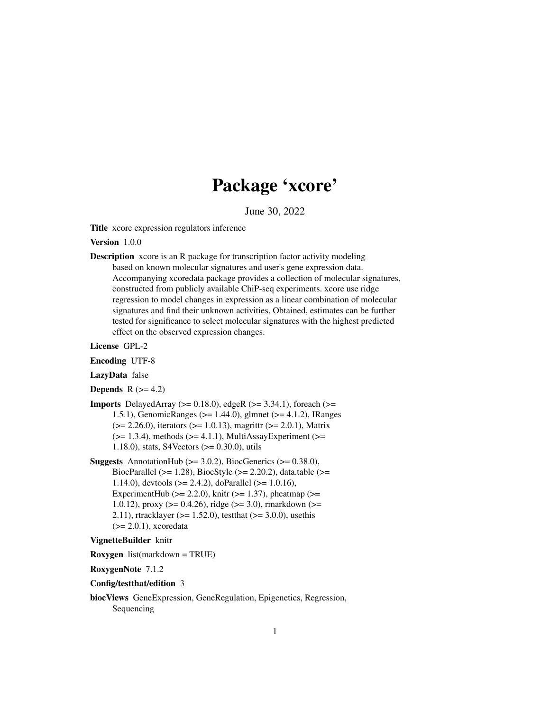# Package 'xcore'

June 30, 2022

<span id="page-0-0"></span>Title xcore expression regulators inference

Version 1.0.0

Description xcore is an R package for transcription factor activity modeling based on known molecular signatures and user's gene expression data. Accompanying xcoredata package provides a collection of molecular signatures, constructed from publicly available ChiP-seq experiments. xcore use ridge regression to model changes in expression as a linear combination of molecular signatures and find their unknown activities. Obtained, estimates can be further tested for significance to select molecular signatures with the highest predicted effect on the observed expression changes.

License GPL-2

Encoding UTF-8

LazyData false

**Depends**  $R$  ( $>= 4.2$ )

- **Imports** DelayedArray ( $>= 0.18.0$ ), edgeR ( $>= 3.34.1$ ), foreach ( $>=$ 1.5.1), GenomicRanges (>= 1.44.0), glmnet (>= 4.1.2), IRanges (>= 2.26.0), iterators (>= 1.0.13), magrittr (>= 2.0.1), Matrix  $(>= 1.3.4)$ , methods  $(>= 4.1.1)$ , MultiAssayExperiment  $(>= 1.3.4)$ 1.18.0), stats, S4Vectors (>= 0.30.0), utils
- **Suggests** AnnotationHub  $(>= 3.0.2)$ , BiocGenerics  $(>= 0.38.0)$ , BiocParallel ( $>= 1.28$ ), BiocStyle ( $>= 2.20.2$ ), data.table ( $>=$ 1.14.0), devtools (>= 2.4.2), doParallel (>= 1.0.16), ExperimentHub ( $>= 2.2.0$ ), knitr ( $>= 1.37$ ), pheatmap ( $>=$ 1.0.12), proxy ( $> = 0.4.26$ ), ridge ( $> = 3.0$ ), rmarkdown ( $> =$ 2.11), rtracklayer ( $>= 1.52.0$ ), testthat ( $>= 3.0.0$ ), usethis  $(>= 2.0.1)$ , xcoredata

#### VignetteBuilder knitr

Roxygen list(markdown = TRUE)

RoxygenNote 7.1.2

#### Config/testthat/edition 3

biocViews GeneExpression, GeneRegulation, Epigenetics, Regression, Sequencing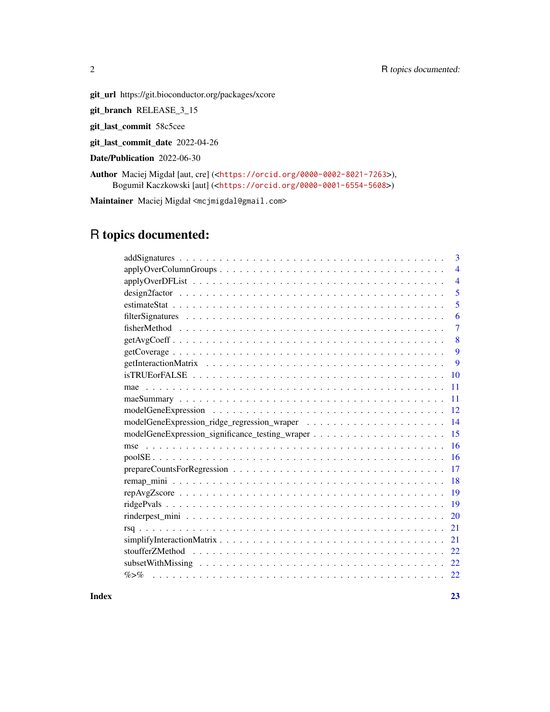git\_url https://git.bioconductor.org/packages/xcore

git\_branch RELEASE\_3\_15

git\_last\_commit 58c5cee

git\_last\_commit\_date 2022-04-26

Date/Publication 2022-06-30

Author Maciej Migdał [aut, cre] (<<https://orcid.org/0000-0002-8021-7263>>), Bogumił Kaczkowski [aut] (<<https://orcid.org/0000-0001-6554-5608>>)

Maintainer Maciej Migdał <mcjmigdal@gmail.com>

# R topics documented:

| 3              |
|----------------|
| $\overline{4}$ |
| $\overline{4}$ |
| 5              |
| 5              |
| 6              |
| 7              |
| 8              |
| 9              |
| 9              |
| 10             |
| 11             |
| 11             |
| 12             |
|                |
| 14             |
| 15             |
| 16             |
| 16             |
| 17             |
| 18             |
| 19             |
| 19             |
| 20             |
| 21             |
| 21             |
| 22             |
| 22             |

**Index** [23](#page-22-0)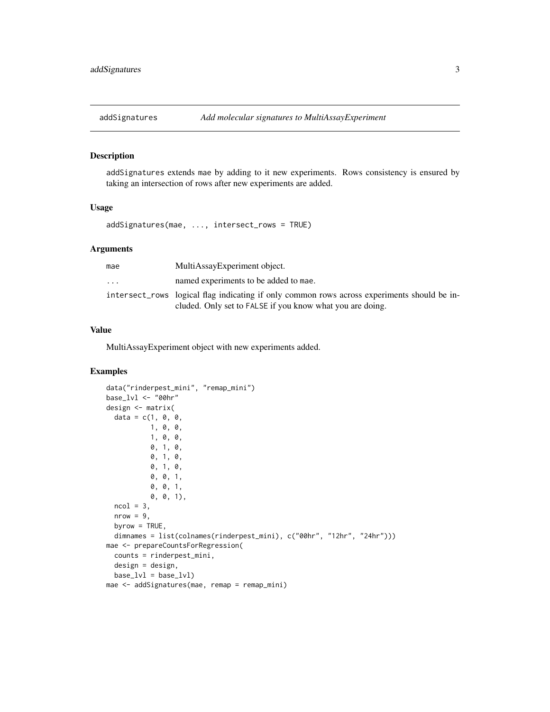<span id="page-2-0"></span>

addSignatures extends mae by adding to it new experiments. Rows consistency is ensured by taking an intersection of rows after new experiments are added.

## Usage

addSignatures(mae, ..., intersect\_rows = TRUE)

#### Arguments

| mae                     | MultiAssayExperiment object.                                                                                                                             |
|-------------------------|----------------------------------------------------------------------------------------------------------------------------------------------------------|
| $\cdot$ $\cdot$ $\cdot$ | named experiments to be added to mae.                                                                                                                    |
|                         | intersect_rows logical flag indicating if only common rows across experiments should be in-<br>cluded. Only set to FALSE if you know what you are doing. |

## Value

MultiAssayExperiment object with new experiments added.

## Examples

```
data("rinderpest_mini", "remap_mini")
base_lvl <- "00hr"
design <- matrix(
  data = c(1, 0, 0, 0)1, 0, 0,
           1, 0, 0,
           0, 1, 0,
           0, 1, 0,
           0, 1, 0,
           0, 0, 1,
           0, 0, 1,
           0, 0, 1),
  ncol = 3,
  nrow = 9,
  byrow = TRUE,
  dimnames = list(colnames(rinderpest_mini), c("00hr", "12hr", "24hr")))
mae <- prepareCountsForRegression(
  counts = rinderpest_mini,
  design = design,
  base_lvl = base_lvl)mae <- addSignatures(mae, remap = remap_mini)
```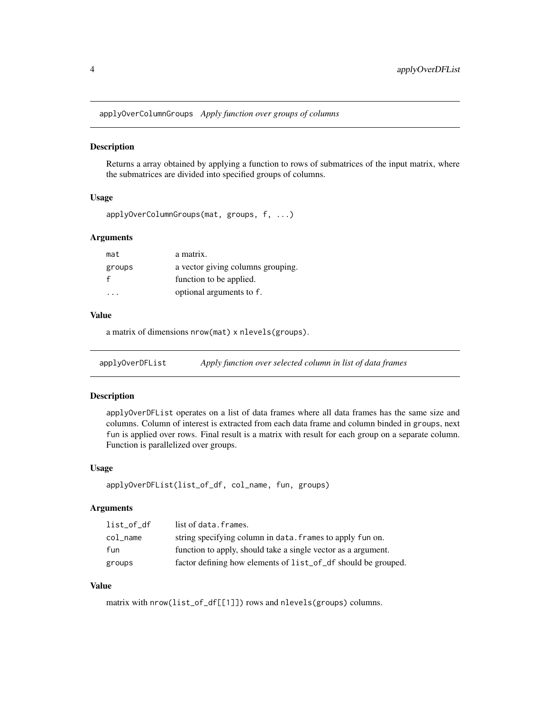<span id="page-3-0"></span>applyOverColumnGroups *Apply function over groups of columns*

#### **Description**

Returns a array obtained by applying a function to rows of submatrices of the input matrix, where the submatrices are divided into specified groups of columns.

## Usage

```
applyOverColumnGroups(mat, groups, f, ...)
```
## Arguments

| mat    | a matrix.                         |
|--------|-----------------------------------|
| groups | a vector giving columns grouping. |
|        | function to be applied.           |
|        | optional arguments to f.          |

#### Value

a matrix of dimensions nrow(mat) x nlevels(groups).

applyOverDFList *Apply function over selected column in list of data frames*

## Description

applyOverDFList operates on a list of data frames where all data frames has the same size and columns. Column of interest is extracted from each data frame and column binded in groups, next fun is applied over rows. Final result is a matrix with result for each group on a separate column. Function is parallelized over groups.

#### Usage

```
applyOverDFList(list_of_df, col_name, fun, groups)
```
#### Arguments

| list of df | list of data. frames.                                         |
|------------|---------------------------------------------------------------|
| col_name   | string specifying column in data. frames to apply fun on.     |
| fun        | function to apply, should take a single vector as a argument. |
| groups     | factor defining how elements of list_of_df should be grouped. |

#### Value

matrix with nrow(list\_of\_df[[1]]) rows and nlevels(groups) columns.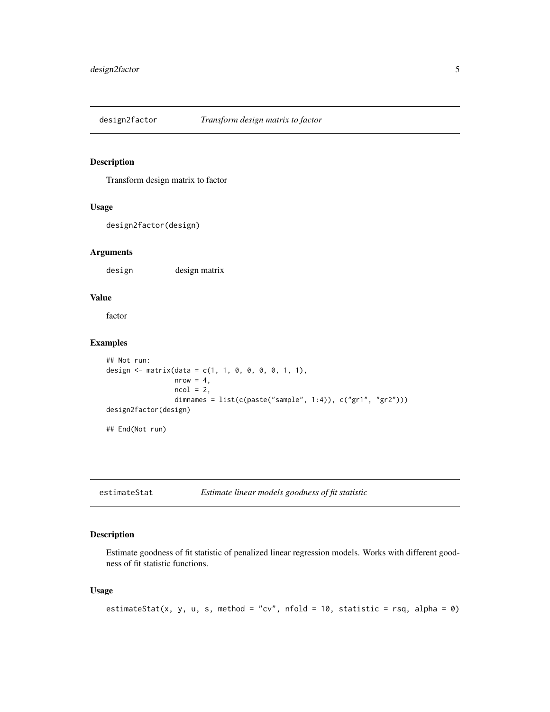<span id="page-4-0"></span>

Transform design matrix to factor

## Usage

design2factor(design)

## Arguments

design design matrix

## Value

factor

## Examples

```
## Not run:
design <- matrix(data = c(1, 1, 0, 0, 0, 0, 1, 1),
                 nrow = 4,
                 ncol = 2,
                 dimnames = list(c(paste("sample", 1:4)), c("gr1", "gr2")))
design2factor(design)
## End(Not run)
```
estimateStat *Estimate linear models goodness of fit statistic*

## Description

Estimate goodness of fit statistic of penalized linear regression models. Works with different goodness of fit statistic functions.

## Usage

```
estimateStat(x, y, u, s, method = "cv", nfold = 10, statistic = rsq, alpha = 0)
```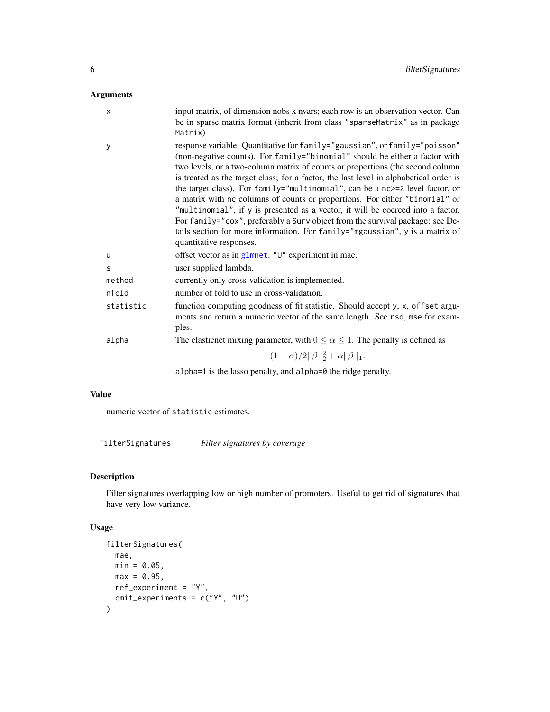## <span id="page-5-0"></span>Arguments

| X         | input matrix, of dimension nobs x nvars; each row is an observation vector. Can<br>be in sparse matrix format (inherit from class "sparseMatrix" as in package<br>Matrix)                                                                                                                                                                                                                                                                                                                                                                                                                                                                                                                                                                                                          |
|-----------|------------------------------------------------------------------------------------------------------------------------------------------------------------------------------------------------------------------------------------------------------------------------------------------------------------------------------------------------------------------------------------------------------------------------------------------------------------------------------------------------------------------------------------------------------------------------------------------------------------------------------------------------------------------------------------------------------------------------------------------------------------------------------------|
| У         | response variable. Quantitative for family="gaussian", or family="poisson"<br>(non-negative counts). For family="binomial" should be either a factor with<br>two levels, or a two-column matrix of counts or proportions (the second column<br>is treated as the target class; for a factor, the last level in alphabetical order is<br>the target class). For family="multinomial", can be a nc>=2 level factor, or<br>a matrix with nc columns of counts or proportions. For either "binomial" or<br>"multinomial", if y is presented as a vector, it will be coerced into a factor.<br>For family="cox", preferably a Surv object from the survival package: see De-<br>tails section for more information. For family="mgaussian", y is a matrix of<br>quantitative responses. |
| u         | offset vector as in glmnet. "U" experiment in mae.                                                                                                                                                                                                                                                                                                                                                                                                                                                                                                                                                                                                                                                                                                                                 |
| S         | user supplied lambda.                                                                                                                                                                                                                                                                                                                                                                                                                                                                                                                                                                                                                                                                                                                                                              |
| method    | currently only cross-validation is implemented.                                                                                                                                                                                                                                                                                                                                                                                                                                                                                                                                                                                                                                                                                                                                    |
| nfold     | number of fold to use in cross-validation.                                                                                                                                                                                                                                                                                                                                                                                                                                                                                                                                                                                                                                                                                                                                         |
| statistic | function computing goodness of fit statistic. Should accept y, x, offset argu-<br>ments and return a numeric vector of the same length. See rsq, mse for exam-<br>ples.                                                                                                                                                                                                                                                                                                                                                                                                                                                                                                                                                                                                            |
| alpha     | The elasticnet mixing parameter, with $0 \le \alpha \le 1$ . The penalty is defined as                                                                                                                                                                                                                                                                                                                                                                                                                                                                                                                                                                                                                                                                                             |
|           | $(1-\alpha)/2  \beta  _2^2+\alpha  \beta  _1.$                                                                                                                                                                                                                                                                                                                                                                                                                                                                                                                                                                                                                                                                                                                                     |
|           | $alpha=1$ is the lasso penalty, and $alpha=0$ the ridge penalty.                                                                                                                                                                                                                                                                                                                                                                                                                                                                                                                                                                                                                                                                                                                   |

#### Value

numeric vector of statistic estimates.

filterSignatures *Filter signatures by coverage*

## Description

Filter signatures overlapping low or high number of promoters. Useful to get rid of signatures that have very low variance.

## Usage

```
filterSignatures(
 mae,
 min = 0.05,max = 0.95,
 ref_experiment = "Y",
 omit\_experiments = c("Y", "U")\mathcal{L}
```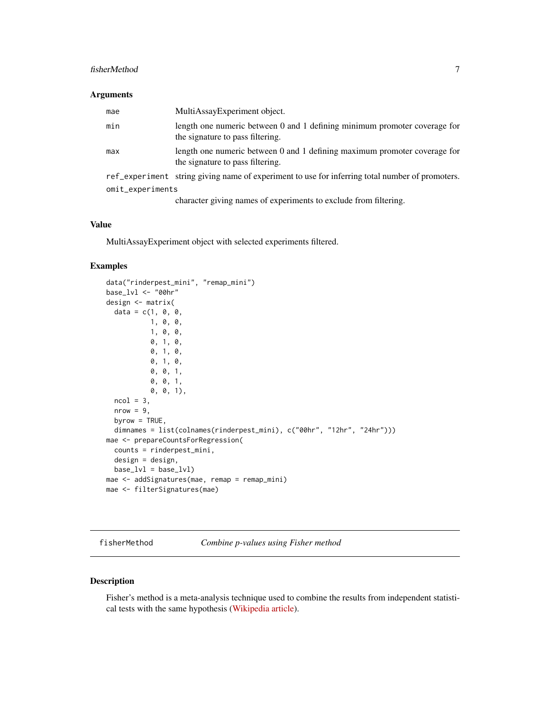#### <span id="page-6-0"></span>fisherMethod 7

#### Arguments

| mae              | MultiAssayExperiment object.                                                                                  |
|------------------|---------------------------------------------------------------------------------------------------------------|
| min              | length one numeric between 0 and 1 defining minimum promoter coverage for<br>the signature to pass filtering. |
| max              | length one numeric between 0 and 1 defining maximum promoter coverage for<br>the signature to pass filtering. |
|                  | ref_experiment string giving name of experiment to use for inferring total number of promoters.               |
| omit_experiments |                                                                                                               |

character giving names of experiments to exclude from filtering.

#### Value

MultiAssayExperiment object with selected experiments filtered.

## Examples

```
data("rinderpest_mini", "remap_mini")
base_lvl <- "00hr"
design <- matrix(
  data = c(1, 0, 0, 0)1, 0, 0,
           1, 0, 0,
           0, 1, 0,
           0, 1, 0,
           0, 1, 0,
           0, 0, 1,
           0, 0, 1,
           0, 0, 1),
  ncol = 3,
  nrow = 9,
  byrow = TRUE,
  dimnames = list(colnames(rinderpest_mini), c("00hr", "12hr", "24hr")))
mae <- prepareCountsForRegression(
  counts = rinderpest_mini,
  design = design,
  base_lvl = base_lvl)mae <- addSignatures(mae, remap = remap_mini)
mae <- filterSignatures(mae)
```
fisherMethod *Combine p-values using Fisher method*

#### Description

Fisher's method is a meta-analysis technique used to combine the results from independent statistical tests with the same hypothesis [\(Wikipedia article\)](https://en.wikipedia.org/wiki/Fisher%27s_method).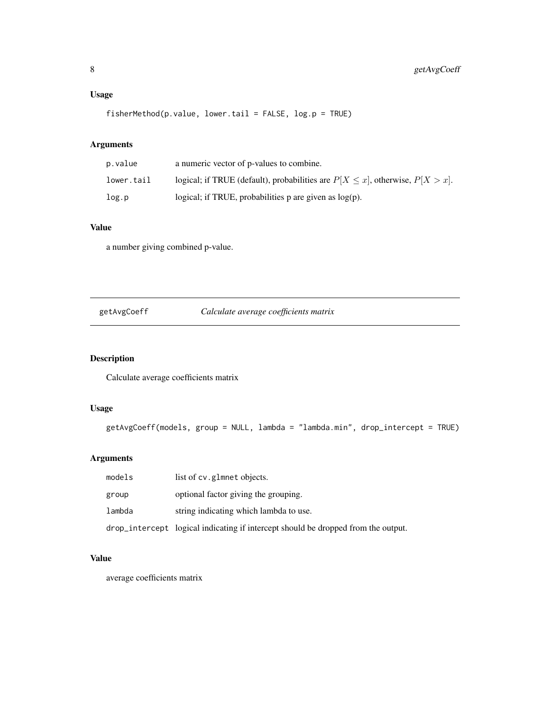## <span id="page-7-0"></span>Usage

fisherMethod(p.value, lower.tail = FALSE, log.p = TRUE)

## Arguments

| p.value    | a numeric vector of p-values to combine.                                              |
|------------|---------------------------------------------------------------------------------------|
| lower.tail | logical; if TRUE (default), probabilities are $P[X \leq x]$ , otherwise, $P[X > x]$ . |
| log.p      | logical; if TRUE, probabilities $p$ are given as $log(p)$ .                           |

## Value

a number giving combined p-value.

getAvgCoeff *Calculate average coefficients matrix*

## Description

Calculate average coefficients matrix

## Usage

```
getAvgCoeff(models, group = NULL, lambda = "lambda.min", drop_intercept = TRUE)
```
## Arguments

| models | list of cv.glmnet objects.                                                        |
|--------|-----------------------------------------------------------------------------------|
| group  | optional factor giving the grouping.                                              |
| lambda | string indicating which lambda to use.                                            |
|        | drop_intercept logical indicating if intercept should be dropped from the output. |

## Value

average coefficients matrix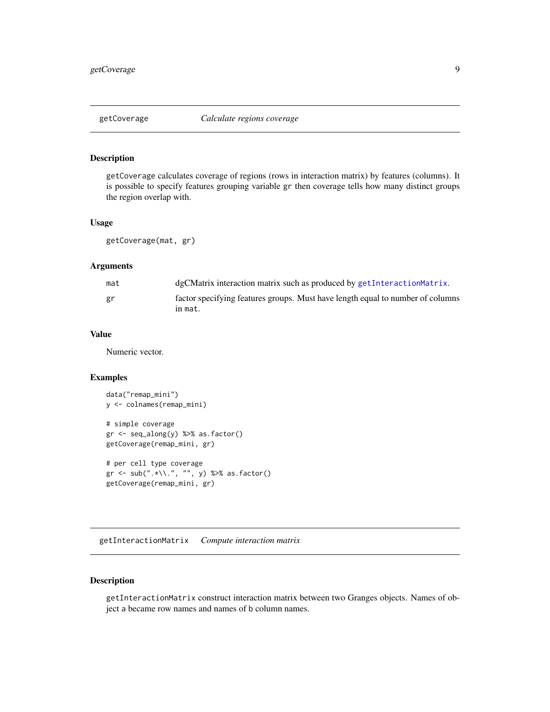<span id="page-8-0"></span>

getCoverage calculates coverage of regions (rows in interaction matrix) by features (columns). It is possible to specify features grouping variable gr then coverage tells how many distinct groups the region overlap with.

#### Usage

getCoverage(mat, gr)

#### Arguments

| mat | dgCMatrix interaction matrix such as produced by getInteractionMatrix.         |
|-----|--------------------------------------------------------------------------------|
| gr  | factor specifying features groups. Must have length equal to number of columns |
|     | in mat.                                                                        |

#### Value

Numeric vector.

## Examples

```
data("remap_mini")
y <- colnames(remap_mini)
# simple coverage
gr <- seq_along(y) %>% as.factor()
getCoverage(remap_mini, gr)
# per cell type coverage
gr <- sub(".*\\.", "", y) %>% as.factor()
getCoverage(remap_mini, gr)
```
<span id="page-8-1"></span>getInteractionMatrix *Compute interaction matrix*

## Description

getInteractionMatrix construct interaction matrix between two Granges objects. Names of object a became row names and names of b column names.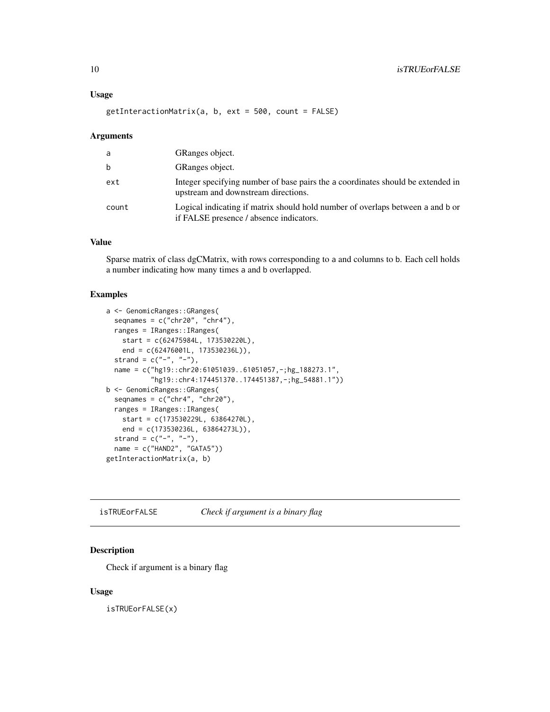#### <span id="page-9-0"></span>Usage

getInteractionMatrix(a, b, ext = 500, count = FALSE)

#### Arguments

| a     | GRanges object.                                                                                                           |
|-------|---------------------------------------------------------------------------------------------------------------------------|
| b     | GRanges object.                                                                                                           |
| ext   | Integer specifying number of base pairs the a coordinates should be extended in<br>upstream and downstream directions.    |
| count | Logical indicating if matrix should hold number of overlaps between a and b or<br>if FALSE presence / absence indicators. |

## Value

Sparse matrix of class dgCMatrix, with rows corresponding to a and columns to b. Each cell holds a number indicating how many times a and b overlapped.

#### Examples

```
a <- GenomicRanges::GRanges(
 seqnames = c("chr20", "chr4"),
 ranges = IRanges::IRanges(
   start = c(62475984L, 173530220L),
   end = c(62476001L, 173530236L)),
 strand = c("-", "-"),
 name = c("hg19::chr20:61051039..61051057,-;hg_188273.1",
           "hg19::chr4:174451370..174451387,-;hg_54881.1"))
b <- GenomicRanges::GRanges(
 seqnames = c("chr4", "chr20"),
 ranges = IRanges::IRanges(
   start = c(173530229L, 63864270L),
   end = c(173530236L, 63864273L)),
 strand = c("-", "-"),
 name = c("HAND2", "GATA5"))
getInteractionMatrix(a, b)
```
isTRUEorFALSE *Check if argument is a binary flag*

## Description

Check if argument is a binary flag

#### Usage

isTRUEorFALSE(x)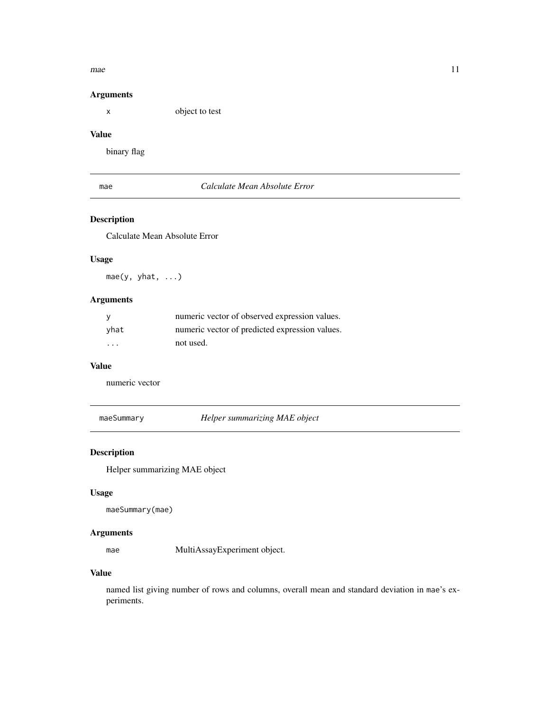#### <span id="page-10-0"></span>mae 11 metal 11 metal 11 metal 11 metal 11 metal 11 metal 11 metal 11 metal 11 metal 11 metal 11 metal 11 metal 11 metal 11 metal 11 metal 11 metal 11 metal 11 metal 11 metal 11 metal 11 metal 11 metal 11 metal 11 metal 11

## Arguments

x object to test

## Value

binary flag

## mae *Calculate Mean Absolute Error*

## Description

Calculate Mean Absolute Error

## Usage

mae(y, yhat, ...)

## Arguments

|          | numeric vector of observed expression values.  |
|----------|------------------------------------------------|
| vhat     | numeric vector of predicted expression values. |
| $\cdots$ | not used.                                      |

## Value

numeric vector

maeSummary *Helper summarizing MAE object*

## Description

Helper summarizing MAE object

## Usage

maeSummary(mae)

## Arguments

mae MultiAssayExperiment object.

## Value

named list giving number of rows and columns, overall mean and standard deviation in mae's experiments.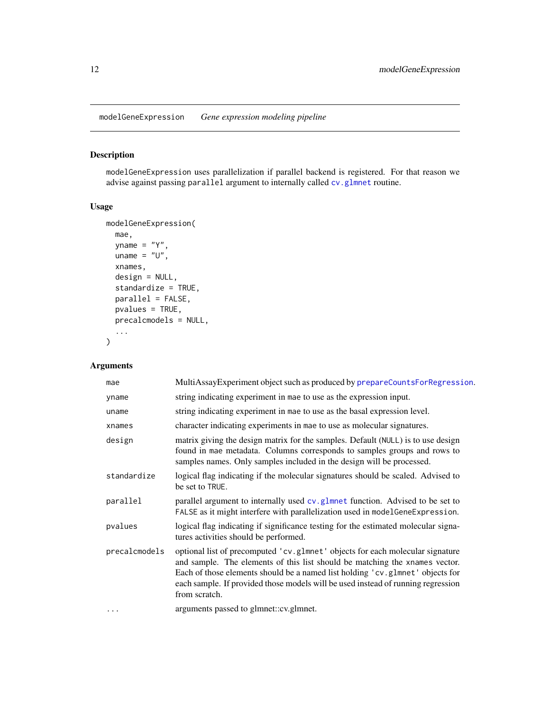<span id="page-11-0"></span>modelGeneExpression *Gene expression modeling pipeline*

## Description

modelGeneExpression uses parallelization if parallel backend is registered. For that reason we advise against passing parallel argument to internally called [cv.glmnet](#page-0-0) routine.

## Usage

```
modelGeneExpression(
 mae,
 yname = "Y",
 uname = "U",
 xnames,
 design = NULL,
  standardize = TRUE,
 parallel = FALSE,
 pvalues = TRUE,
 precalcmodels = NULL,
  ...
)
```
## Arguments

| mae           | MultiAssayExperiment object such as produced by prepareCountsForRegression.                                                                                                                                                                                                                                                                        |
|---------------|----------------------------------------------------------------------------------------------------------------------------------------------------------------------------------------------------------------------------------------------------------------------------------------------------------------------------------------------------|
| yname         | string indicating experiment in mae to use as the expression input.                                                                                                                                                                                                                                                                                |
| uname         | string indicating experiment in mae to use as the basal expression level.                                                                                                                                                                                                                                                                          |
| xnames        | character indicating experiments in mae to use as molecular signatures.                                                                                                                                                                                                                                                                            |
| design        | matrix giving the design matrix for the samples. Default (NULL) is to use design<br>found in mae metadata. Columns corresponds to samples groups and rows to<br>samples names. Only samples included in the design will be processed.                                                                                                              |
| standardize   | logical flag indicating if the molecular signatures should be scaled. Advised to<br>be set to TRUE.                                                                                                                                                                                                                                                |
| parallel      | parallel argument to internally used cv. glmnet function. Advised to be set to<br>FALSE as it might interfere with parallelization used in modelGeneExpression.                                                                                                                                                                                    |
| pvalues       | logical flag indicating if significance testing for the estimated molecular signa-<br>tures activities should be performed.                                                                                                                                                                                                                        |
| precalcmodels | optional list of precomputed 'cv.glmnet' objects for each molecular signature<br>and sample. The elements of this list should be matching the xnames vector.<br>Each of those elements should be a named list holding 'cv.glmnet' objects for<br>each sample. If provided those models will be used instead of running regression<br>from scratch. |
| .             | arguments passed to glmnet::cv.glmnet.                                                                                                                                                                                                                                                                                                             |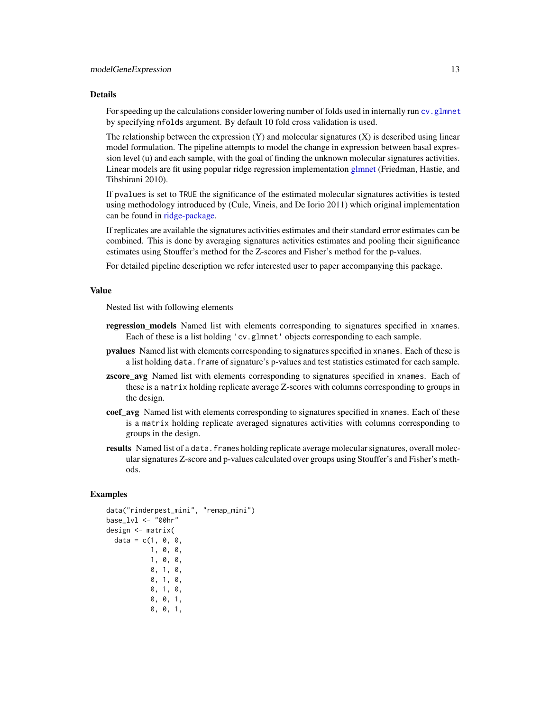#### <span id="page-12-0"></span>Details

For speeding up the calculations consider lowering number of folds used in internally run cv. glmnet by specifying nfolds argument. By default 10 fold cross validation is used.

The relationship between the expression  $(Y)$  and molecular signatures  $(X)$  is described using linear model formulation. The pipeline attempts to model the change in expression between basal expression level (u) and each sample, with the goal of finding the unknown molecular signatures activities. Linear models are fit using popular ridge regression implementation [glmnet](#page-0-0) (Friedman, Hastie, and Tibshirani 2010).

If pvalues is set to TRUE the significance of the estimated molecular signatures activities is tested using methodology introduced by (Cule, Vineis, and De Iorio 2011) which original implementation can be found in [ridge-package.](#page-0-0)

If replicates are available the signatures activities estimates and their standard error estimates can be combined. This is done by averaging signatures activities estimates and pooling their significance estimates using Stouffer's method for the Z-scores and Fisher's method for the p-values.

For detailed pipeline description we refer interested user to paper accompanying this package.

#### Value

Nested list with following elements

- regression\_models Named list with elements corresponding to signatures specified in xnames. Each of these is a list holding 'cv.glmnet' objects corresponding to each sample.
- pvalues Named list with elements corresponding to signatures specified in xnames. Each of these is a list holding data.frame of signature's p-values and test statistics estimated for each sample.
- **zscore\_avg** Named list with elements corresponding to signatures specified in xnames. Each of these is a matrix holding replicate average Z-scores with columns corresponding to groups in the design.
- coef avg Named list with elements corresponding to signatures specified in xnames. Each of these is a matrix holding replicate averaged signatures activities with columns corresponding to groups in the design.
- **results** Named list of a data. frames holding replicate average molecular signatures, overall molecular signatures Z-score and p-values calculated over groups using Stouffer's and Fisher's methods.

## Examples

```
data("rinderpest_mini", "remap_mini")
base_lvl <- "00hr"
design <- matrix(
 data = c(1, 0, 0, 0)1, 0, 0,
           1, 0, 0,
           0, 1, 0,
           0, 1, 0,
           0, 1, 0,
           0, 0, 1,
           0, 0, 1,
```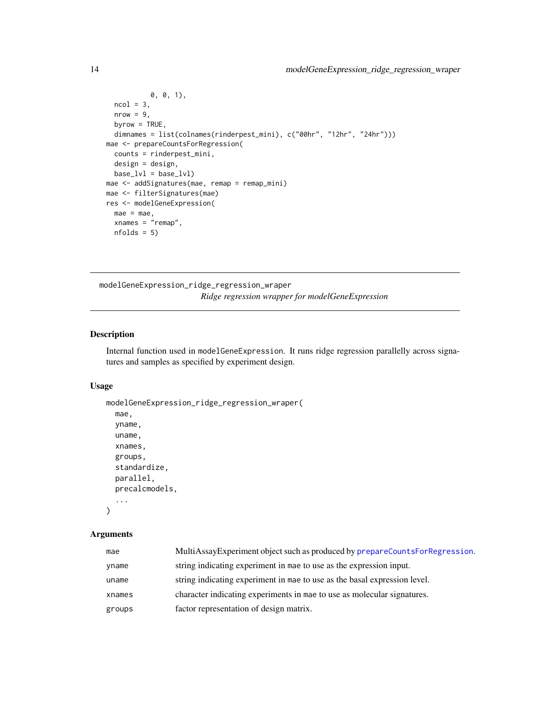```
0, 0, 1),
  ncol = 3,
  nrow = 9,
  byrow = TRUE,
  dimnames = list(colnames(rinderpest_mini), c("00hr", "12hr", "24hr")))
mae <- prepareCountsForRegression(
 counts = rinderpest_mini,
 design = design,
 base_lvl = base_lvl)mae <- addSignatures(mae, remap = remap_mini)
mae <- filterSignatures(mae)
res <- modelGeneExpression(
  mae = mae,xnames = "remap",
  nfolds = 5)
```
modelGeneExpression\_ridge\_regression\_wraper *Ridge regression wrapper for modelGeneExpression*

#### Description

Internal function used in modelGeneExpression. It runs ridge regression parallelly across signatures and samples as specified by experiment design.

## Usage

```
modelGeneExpression_ridge_regression_wraper(
  mae,
 yname,
  uname,
  xnames,
  groups,
  standardize,
 parallel,
  precalcmodels,
  ...
)
```
## Arguments

| mae    | MultiAssayExperiment object such as produced by prepareCountsForRegression. |
|--------|-----------------------------------------------------------------------------|
| yname  | string indicating experiment in mae to use as the expression input.         |
| uname  | string indicating experiment in mae to use as the basal expression level.   |
| xnames | character indicating experiments in mae to use as molecular signatures.     |
| groups | factor representation of design matrix.                                     |

<span id="page-13-0"></span>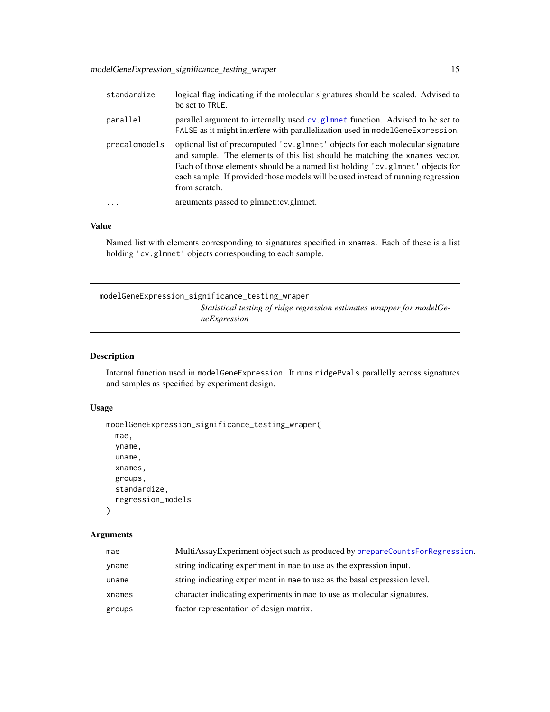<span id="page-14-0"></span>

| standardize             | logical flag indicating if the molecular signatures should be scaled. Advised to<br>be set to TRUE.                                                                                                                                                                                                                                                |
|-------------------------|----------------------------------------------------------------------------------------------------------------------------------------------------------------------------------------------------------------------------------------------------------------------------------------------------------------------------------------------------|
| parallel                | parallel argument to internally used cv. glmnet function. Advised to be set to<br>FALSE as it might interfere with parallelization used in model Gene Expression.                                                                                                                                                                                  |
| precalcmodels           | optional list of precomputed 'cv.g1mnet' objects for each molecular signature<br>and sample. The elements of this list should be matching the xnames vector.<br>Each of those elements should be a named list holding 'cv.glmnet' objects for<br>each sample. If provided those models will be used instead of running regression<br>from scratch. |
| $\cdot$ $\cdot$ $\cdot$ | arguments passed to glmnet::cv.glmnet.                                                                                                                                                                                                                                                                                                             |

#### Value

Named list with elements corresponding to signatures specified in xnames. Each of these is a list holding 'cv.glmnet' objects corresponding to each sample.

modelGeneExpression\_significance\_testing\_wraper *Statistical testing of ridge regression estimates wrapper for modelGeneExpression*

## Description

Internal function used in modelGeneExpression. It runs ridgePvals parallelly across signatures and samples as specified by experiment design.

## Usage

```
modelGeneExpression_significance_testing_wraper(
  mae,
 yname,
  uname,
  xnames,
  groups,
  standardize,
  regression_models
\lambda
```
## Arguments

| mae    | MultiAssayExperiment object such as produced by prepareCountsForRegression. |
|--------|-----------------------------------------------------------------------------|
| yname  | string indicating experiment in mae to use as the expression input.         |
| uname  | string indicating experiment in mae to use as the basal expression level.   |
| xnames | character indicating experiments in mae to use as molecular signatures.     |
| groups | factor representation of design matrix.                                     |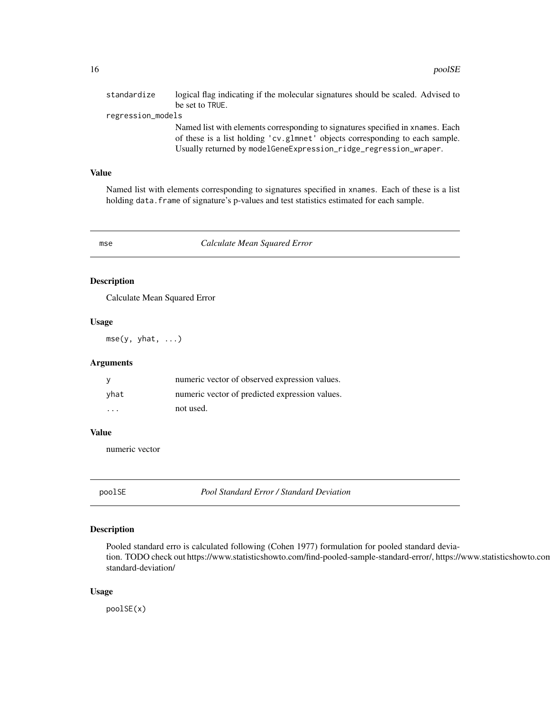<span id="page-15-0"></span>

| standardize       | logical flag indicating if the molecular signatures should be scaled. Advised to                                                                                                                                                   |  |
|-------------------|------------------------------------------------------------------------------------------------------------------------------------------------------------------------------------------------------------------------------------|--|
|                   | be set to TRUE.                                                                                                                                                                                                                    |  |
| regression_models |                                                                                                                                                                                                                                    |  |
|                   | Named list with elements corresponding to signatures specified in xnames. Each<br>of these is a list holding 'cv.glmnet' objects corresponding to each sample.<br>Usually returned by modelGeneExpression_ridge_regression_wraper. |  |

## Value

Named list with elements corresponding to signatures specified in xnames. Each of these is a list holding data. frame of signature's p-values and test statistics estimated for each sample.

mse *Calculate Mean Squared Error*

## Description

Calculate Mean Squared Error

#### Usage

mse(y, yhat, ...)

#### Arguments

|                         | numeric vector of observed expression values.  |
|-------------------------|------------------------------------------------|
| vhat                    | numeric vector of predicted expression values. |
| $\cdot$ $\cdot$ $\cdot$ | not used.                                      |

#### Value

numeric vector

poolSE *Pool Standard Error / Standard Deviation*

## Description

Pooled standard erro is calculated following (Cohen 1977) formulation for pooled standard deviation. TODO check out https://www.statisticshowto.com/find-pooled-sample-standard-error/, https://www.statisticshowto.com standard-deviation/

#### Usage

poolSE(x)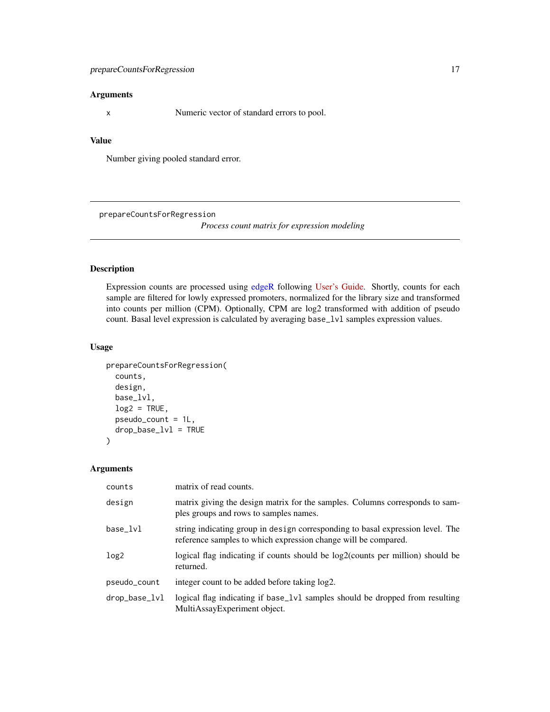## <span id="page-16-0"></span>prepareCountsForRegression 17

## Arguments

x Numeric vector of standard errors to pool.

## Value

Number giving pooled standard error.

<span id="page-16-1"></span>prepareCountsForRegression

*Process count matrix for expression modeling*

## Description

Expression counts are processed using [edgeR](#page-0-0) following [User's Guide.](https://bioconductor.org/packages/release/bioc/vignettes/edgeR/inst/doc/edgeRUsersGuide.pdf) Shortly, counts for each sample are filtered for lowly expressed promoters, normalized for the library size and transformed into counts per million (CPM). Optionally, CPM are log2 transformed with addition of pseudo count. Basal level expression is calculated by averaging base\_lvl samples expression values.

## Usage

```
prepareCountsForRegression(
  counts,
  design,
  base_lvl,
  log2 = TRUE,
  pseudo_count = 1L,
  drop\_base\_lvl = TRUE\mathcal{E}
```
Arguments

| counts           | matrix of read counts.                                                                                                                           |
|------------------|--------------------------------------------------------------------------------------------------------------------------------------------------|
| design           | matrix giving the design matrix for the samples. Columns corresponds to sam-<br>ples groups and rows to samples names.                           |
| base_lvl         | string indicating group in design corresponding to basal expression level. The<br>reference samples to which expression change will be compared. |
| log <sub>2</sub> | logical flag indicating if counts should be log2(counts per million) should be<br>returned.                                                      |
| pseudo_count     | integer count to be added before taking $log2$ .                                                                                                 |
| drop_base_lvl    | logical flag indicating if base_1v1 samples should be dropped from resulting<br>MultiAssayExperiment object.                                     |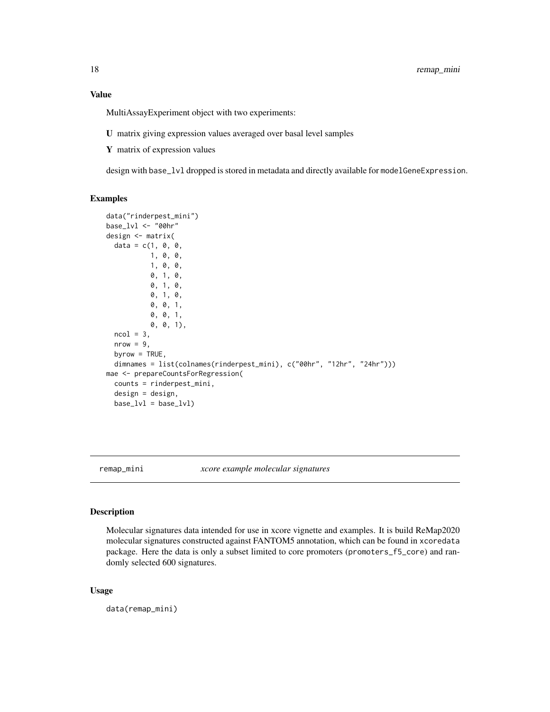## <span id="page-17-0"></span>Value

MultiAssayExperiment object with two experiments:

- U matrix giving expression values averaged over basal level samples
- Y matrix of expression values

design with base\_lvl dropped is stored in metadata and directly available for modelGeneExpression.

#### Examples

```
data("rinderpest_mini")
base_lvl <- "00hr"
design <- matrix(
  data = c(1, 0, 0, 0)1, 0, 0,
           1, 0, 0,
           0, 1, 0,
           0, 1, 0,
           0, 1, 0,
           0, 0, 1,
           0, 0, 1,
           0, 0, 1),
  ncol = 3,
  nrow = 9,
  byrow = TRUE,dimnames = list(colnames(rinderpest_mini), c("00hr", "12hr", "24hr")))
mae <- prepareCountsForRegression(
  counts = rinderpest_mini,
  design = design,
  base_lvl = base_lvl)
```
remap\_mini *xcore example molecular signatures*

#### Description

Molecular signatures data intended for use in xcore vignette and examples. It is build ReMap2020 molecular signatures constructed against FANTOM5 annotation, which can be found in xcoredata package. Here the data is only a subset limited to core promoters (promoters\_f5\_core) and randomly selected 600 signatures.

#### Usage

data(remap\_mini)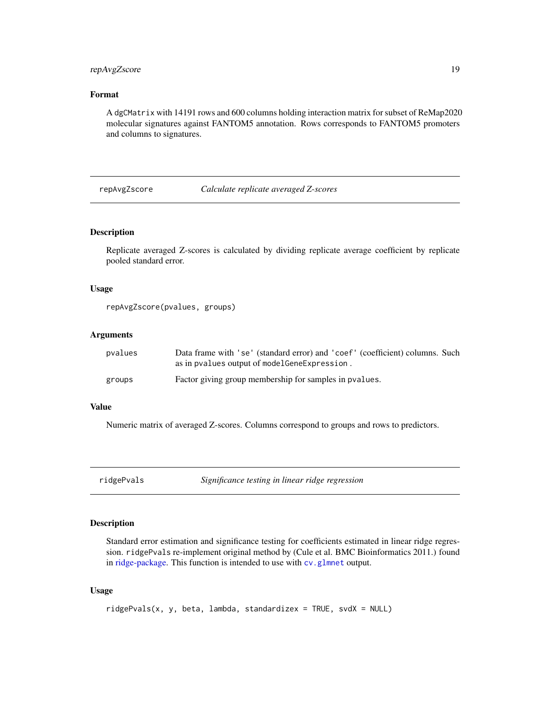## <span id="page-18-0"></span>repAvgZscore 19

## Format

A dgCMatrix with 14191 rows and 600 columns holding interaction matrix for subset of ReMap2020 molecular signatures against FANTOM5 annotation. Rows corresponds to FANTOM5 promoters and columns to signatures.

repAvgZscore *Calculate replicate averaged Z-scores*

## Description

Replicate averaged Z-scores is calculated by dividing replicate average coefficient by replicate pooled standard error.

#### Usage

```
repAvgZscore(pvalues, groups)
```
#### Arguments

| pvalues | Data frame with 'se' (standard error) and 'coef' (coefficient) columns. Such |  |
|---------|------------------------------------------------------------------------------|--|
|         | as in pvalues output of model Gene Expression.                               |  |
| groups  | Factor giving group membership for samples in pvalues.                       |  |

#### Value

Numeric matrix of averaged Z-scores. Columns correspond to groups and rows to predictors.

ridgePvals *Significance testing in linear ridge regression*

#### Description

Standard error estimation and significance testing for coefficients estimated in linear ridge regression. ridgePvals re-implement original method by (Cule et al. BMC Bioinformatics 2011.) found in [ridge-package.](#page-0-0) This function is intended to use with [cv.glmnet](#page-0-0) output.

#### Usage

```
ridgePvals(x, y, beta, lambda, standardizex = TRUE, svdX = NULL)
```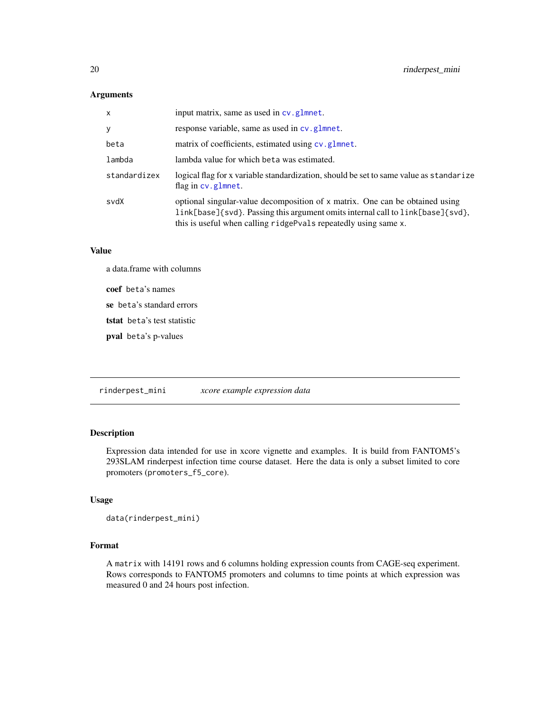## <span id="page-19-0"></span>Arguments

| $\mathsf{x}$ | input matrix, same as used in cv.glmnet.                                                                                                                                                                                          |
|--------------|-----------------------------------------------------------------------------------------------------------------------------------------------------------------------------------------------------------------------------------|
| y            | response variable, same as used in cv. glmnet.                                                                                                                                                                                    |
| beta         | matrix of coefficients, estimated using cv. glmnet.                                                                                                                                                                               |
| lambda       | lambda value for which beta was estimated.                                                                                                                                                                                        |
| standardizex | logical flag for x variable standardization, should be set to same value as standarize<br>flag in cv.glmnet.                                                                                                                      |
| svdX         | optional singular-value decomposition of x matrix. One can be obtained using<br>link[base]{svd}. Passing this argument omits internal call to link[base]{svd},<br>this is useful when calling ridgePvals repeatedly using same x. |

## Value

a data.frame with columns

coef beta's names

se beta's standard errors

tstat beta's test statistic

pval beta's p-values

rinderpest\_mini *xcore example expression data*

## Description

Expression data intended for use in xcore vignette and examples. It is build from FANTOM5's 293SLAM rinderpest infection time course dataset. Here the data is only a subset limited to core promoters (promoters\_f5\_core).

## Usage

```
data(rinderpest_mini)
```
#### Format

A matrix with 14191 rows and 6 columns holding expression counts from CAGE-seq experiment. Rows corresponds to FANTOM5 promoters and columns to time points at which expression was measured 0 and 24 hours post infection.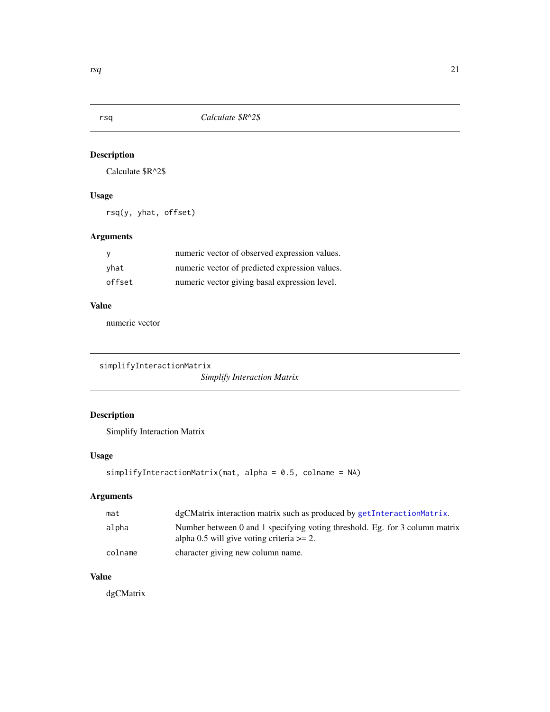<span id="page-20-0"></span>

Calculate \$R^2\$

## Usage

rsq(y, yhat, offset)

## Arguments

|        | numeric vector of observed expression values.  |
|--------|------------------------------------------------|
| vhat   | numeric vector of predicted expression values. |
| offset | numeric vector giving basal expression level.  |

#### Value

numeric vector

```
simplifyInteractionMatrix
```
*Simplify Interaction Matrix*

## Description

Simplify Interaction Matrix

## Usage

```
simplifyInteractionMatrix(mat, alpha = 0.5, colname = NA)
```
## Arguments

| mat     | dgCMatrix interaction matrix such as produced by getInteractionMatrix.                                                       |
|---------|------------------------------------------------------------------------------------------------------------------------------|
| alpha   | Number between 0 and 1 specifying voting threshold. Eg. for 3 column matrix<br>alpha 0.5 will give voting criteria $\geq$ 2. |
| colname | character giving new column name.                                                                                            |

## Value

dgCMatrix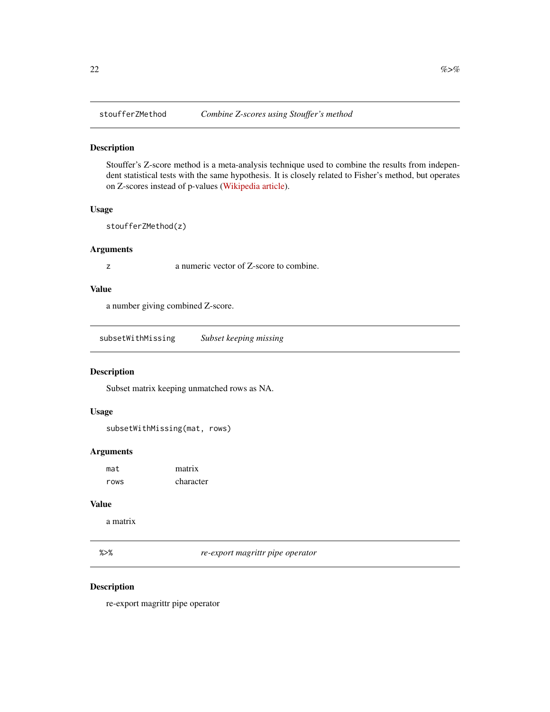<span id="page-21-0"></span>

Stouffer's Z-score method is a meta-analysis technique used to combine the results from independent statistical tests with the same hypothesis. It is closely related to Fisher's method, but operates on Z-scores instead of p-values [\(Wikipedia article\)](https://en.wikipedia.org/wiki/Fisher%27s_method).

#### Usage

stoufferZMethod(z)

## Arguments

z a numeric vector of Z-score to combine.

## Value

a number giving combined Z-score.

subsetWithMissing *Subset keeping missing*

#### Description

Subset matrix keeping unmatched rows as NA.

## Usage

subsetWithMissing(mat, rows)

## Arguments

| mat  | matrix    |
|------|-----------|
| rows | character |

## Value

a matrix

%>% *re-export magrittr pipe operator*

## Description

re-export magrittr pipe operator